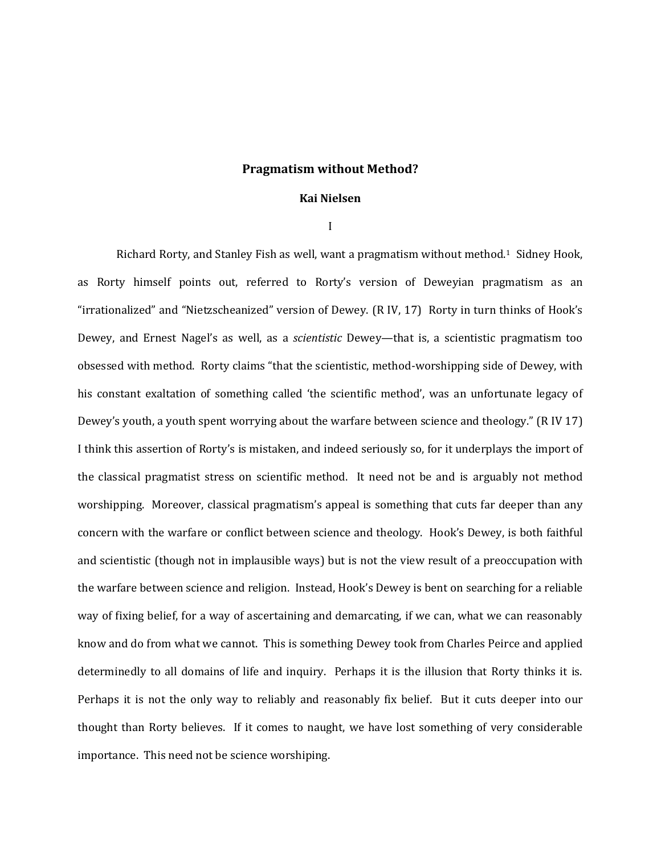## **Pragmatism without Method?**

## **Kai Nielsen**

I

Richard Rorty, and Stanley Fish as well, want a pragmatism without method.1 Sidney Hook, as Rorty himself points out, referred to Rorty's version of Deweyian pragmatism as an "irrationalized" and "Nietzscheanized" version of Dewey. (R IV, 17) Rorty in turn thinks of Hook's Dewey, and Ernest Nagel's as well, as a *scientistic* Dewey—that is, a scientistic pragmatism too obsessed with method. Rorty claims "that the scientistic, method-worshipping side of Dewey, with his constant exaltation of something called 'the scientific method', was an unfortunate legacy of Dewey's youth, a youth spent worrying about the warfare between science and theology." (R IV 17) I think this assertion of Rorty's is mistaken, and indeed seriously so, for it underplays the import of the classical pragmatist stress on scientific method. It need not be and is arguably not method worshipping. Moreover, classical pragmatism's appeal is something that cuts far deeper than any concern with the warfare or conflict between science and theology. Hook's Dewey, is both faithful and scientistic (though not in implausible ways) but is not the view result of a preoccupation with the warfare between science and religion. Instead, Hook's Dewey is bent on searching for a reliable way of fixing belief, for a way of ascertaining and demarcating, if we can, what we can reasonably know and do from what we cannot. This is something Dewey took from Charles Peirce and applied determinedly to all domains of life and inquiry. Perhaps it is the illusion that Rorty thinks it is. Perhaps it is not the only way to reliably and reasonably fix belief. But it cuts deeper into our thought than Rorty believes. If it comes to naught, we have lost something of very considerable importance. This need not be science worshiping.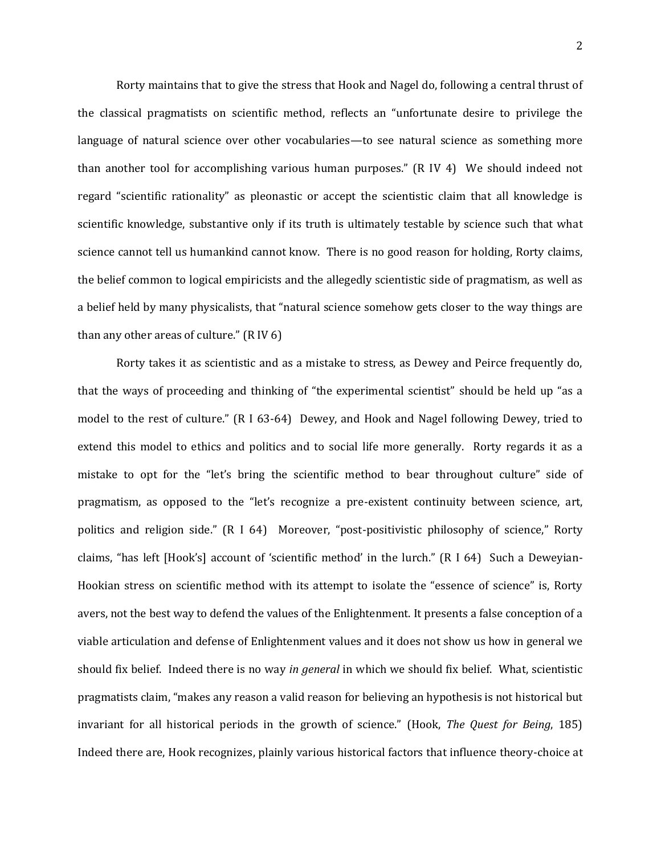Rorty maintains that to give the stress that Hook and Nagel do, following a central thrust of the classical pragmatists on scientific method, reflects an "unfortunate desire to privilege the language of natural science over other vocabularies—to see natural science as something more than another tool for accomplishing various human purposes." (R IV 4) We should indeed not regard "scientific rationality" as pleonastic or accept the scientistic claim that all knowledge is scientific knowledge, substantive only if its truth is ultimately testable by science such that what science cannot tell us humankind cannot know. There is no good reason for holding, Rorty claims, the belief common to logical empiricists and the allegedly scientistic side of pragmatism, as well as a belief held by many physicalists, that "natural science somehow gets closer to the way things are than any other areas of culture." (R IV 6)

Rorty takes it as scientistic and as a mistake to stress, as Dewey and Peirce frequently do, that the ways of proceeding and thinking of "the experimental scientist" should be held up "as a model to the rest of culture." (R I 63-64) Dewey, and Hook and Nagel following Dewey, tried to extend this model to ethics and politics and to social life more generally. Rorty regards it as a mistake to opt for the "let's bring the scientific method to bear throughout culture" side of pragmatism, as opposed to the "let's recognize a pre-existent continuity between science, art, politics and religion side." (R I 64) Moreover, "post-positivistic philosophy of science," Rorty claims, "has left [Hook's] account of 'scientific method' in the lurch." (R I 64) Such a Deweyian-Hookian stress on scientific method with its attempt to isolate the "essence of science" is, Rorty avers, not the best way to defend the values of the Enlightenment. It presents a false conception of a viable articulation and defense of Enlightenment values and it does not show us how in general we should fix belief. Indeed there is no way *in general* in which we should fix belief. What, scientistic pragmatists claim, "makes any reason a valid reason for believing an hypothesis is not historical but invariant for all historical periods in the growth of science." (Hook, *The Quest for Being*, 185) Indeed there are, Hook recognizes, plainly various historical factors that influence theory-choice at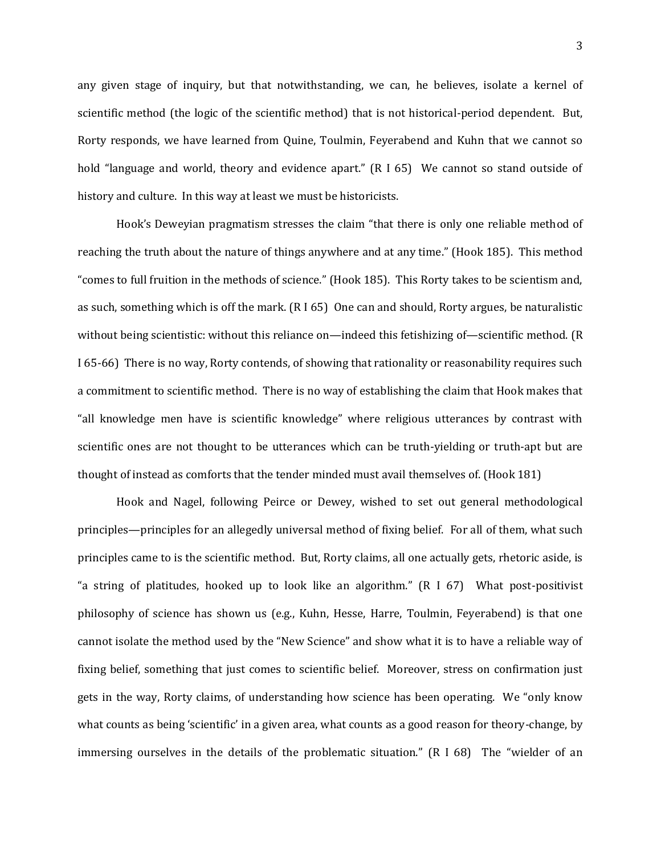any given stage of inquiry, but that notwithstanding, we can, he believes, isolate a kernel of scientific method (the logic of the scientific method) that is not historical-period dependent. But, Rorty responds, we have learned from Quine, Toulmin, Feyerabend and Kuhn that we cannot so hold "language and world, theory and evidence apart." (R I 65) We cannot so stand outside of history and culture. In this way at least we must be historicists.

Hook's Deweyian pragmatism stresses the claim "that there is only one reliable method of reaching the truth about the nature of things anywhere and at any time." (Hook 185). This method "comes to full fruition in the methods of science." (Hook 185). This Rorty takes to be scientism and, as such, something which is off the mark. (R I 65) One can and should, Rorty argues, be naturalistic without being scientistic: without this reliance on—indeed this fetishizing of—scientific method. (R I 65-66) There is no way, Rorty contends, of showing that rationality or reasonability requires such a commitment to scientific method. There is no way of establishing the claim that Hook makes that "all knowledge men have is scientific knowledge" where religious utterances by contrast with scientific ones are not thought to be utterances which can be truth-yielding or truth-apt but are thought of instead as comforts that the tender minded must avail themselves of. (Hook 181)

Hook and Nagel, following Peirce or Dewey, wished to set out general methodological principles—principles for an allegedly universal method of fixing belief. For all of them, what such principles came to is the scientific method. But, Rorty claims, all one actually gets, rhetoric aside, is "a string of platitudes, hooked up to look like an algorithm." (R I 67) What post-positivist philosophy of science has shown us (e.g., Kuhn, Hesse, Harre, Toulmin, Feyerabend) is that one cannot isolate the method used by the "New Science" and show what it is to have a reliable way of fixing belief, something that just comes to scientific belief. Moreover, stress on confirmation just gets in the way, Rorty claims, of understanding how science has been operating. We "only know what counts as being 'scientific' in a given area, what counts as a good reason for theory-change, by immersing ourselves in the details of the problematic situation." (R I 68) The "wielder of an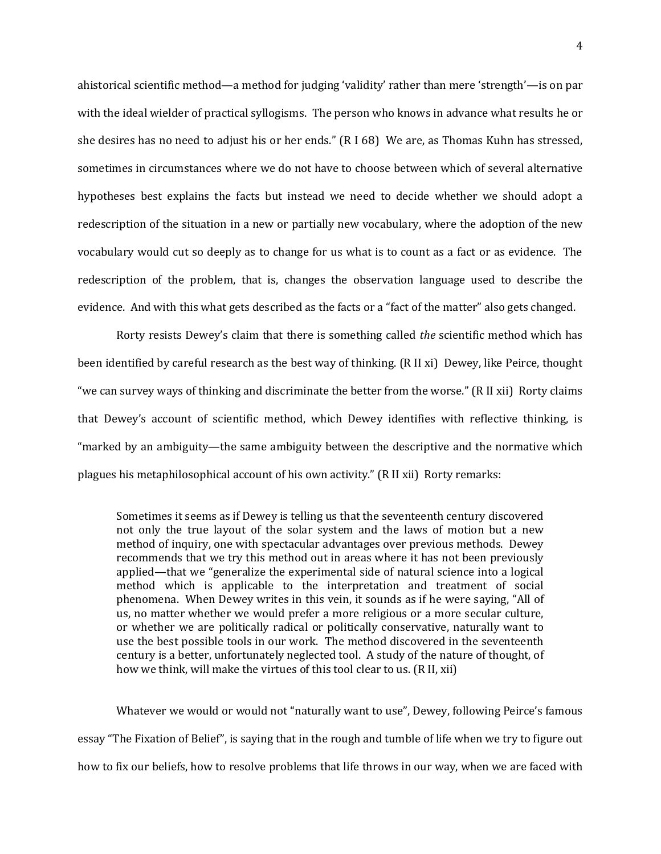ahistorical scientific method—a method for judging 'validity' rather than mere 'strength'—is on par with the ideal wielder of practical syllogisms. The person who knows in advance what results he or she desires has no need to adjust his or her ends." (R I 68) We are, as Thomas Kuhn has stressed, sometimes in circumstances where we do not have to choose between which of several alternative hypotheses best explains the facts but instead we need to decide whether we should adopt a redescription of the situation in a new or partially new vocabulary, where the adoption of the new vocabulary would cut so deeply as to change for us what is to count as a fact or as evidence. The redescription of the problem, that is, changes the observation language used to describe the evidence. And with this what gets described as the facts or a "fact of the matter" also gets changed.

Rorty resists Dewey's claim that there is something called *the* scientific method which has been identified by careful research as the best way of thinking. (R II xi) Dewey, like Peirce, thought "we can survey ways of thinking and discriminate the better from the worse." (R II xii) Rorty claims that Dewey's account of scientific method, which Dewey identifies with reflective thinking, is "marked by an ambiguity—the same ambiguity between the descriptive and the normative which plagues his metaphilosophical account of his own activity." (R II xii) Rorty remarks:

Sometimes it seems as if Dewey is telling us that the seventeenth century discovered not only the true layout of the solar system and the laws of motion but a new method of inquiry, one with spectacular advantages over previous methods. Dewey recommends that we try this method out in areas where it has not been previously applied—that we "generalize the experimental side of natural science into a logical method which is applicable to the interpretation and treatment of social phenomena. When Dewey writes in this vein, it sounds as if he were saying, "All of us, no matter whether we would prefer a more religious or a more secular culture, or whether we are politically radical or politically conservative, naturally want to use the best possible tools in our work. The method discovered in the seventeenth century is a better, unfortunately neglected tool. A study of the nature of thought, of how we think, will make the virtues of this tool clear to us. (R II, xii)

Whatever we would or would not "naturally want to use", Dewey, following Peirce's famous essay "The Fixation of Belief", is saying that in the rough and tumble of life when we try to figure out how to fix our beliefs, how to resolve problems that life throws in our way, when we are faced with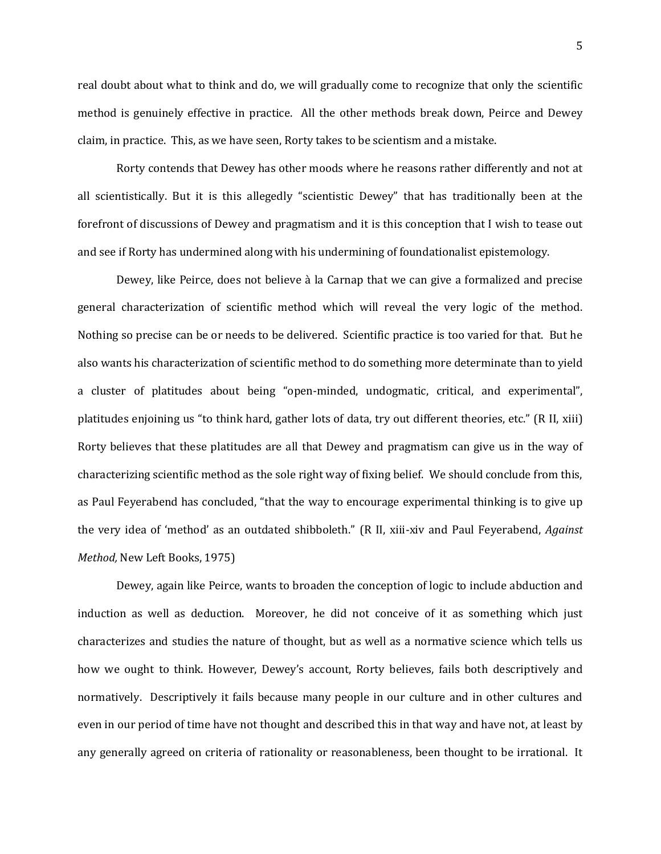real doubt about what to think and do, we will gradually come to recognize that only the scientific method is genuinely effective in practice. All the other methods break down, Peirce and Dewey claim, in practice. This, as we have seen, Rorty takes to be scientism and a mistake.

Rorty contends that Dewey has other moods where he reasons rather differently and not at all scientistically. But it is this allegedly "scientistic Dewey" that has traditionally been at the forefront of discussions of Dewey and pragmatism and it is this conception that I wish to tease out and see if Rorty has undermined along with his undermining of foundationalist epistemology.

Dewey, like Peirce, does not believe à la Carnap that we can give a formalized and precise general characterization of scientific method which will reveal the very logic of the method. Nothing so precise can be or needs to be delivered. Scientific practice is too varied for that. But he also wants his characterization of scientific method to do something more determinate than to yield a cluster of platitudes about being "open-minded, undogmatic, critical, and experimental", platitudes enjoining us "to think hard, gather lots of data, try out different theories, etc." (R II, xiii) Rorty believes that these platitudes are all that Dewey and pragmatism can give us in the way of characterizing scientific method as the sole right way of fixing belief. We should conclude from this, as Paul Feyerabend has concluded, "that the way to encourage experimental thinking is to give up the very idea of 'method' as an outdated shibboleth." (R II, xiii-xiv and Paul Feyerabend, *Against Method,* New Left Books, 1975)

Dewey, again like Peirce, wants to broaden the conception of logic to include abduction and induction as well as deduction. Moreover, he did not conceive of it as something which just characterizes and studies the nature of thought, but as well as a normative science which tells us how we ought to think. However, Dewey's account, Rorty believes, fails both descriptively and normatively. Descriptively it fails because many people in our culture and in other cultures and even in our period of time have not thought and described this in that way and have not, at least by any generally agreed on criteria of rationality or reasonableness, been thought to be irrational. It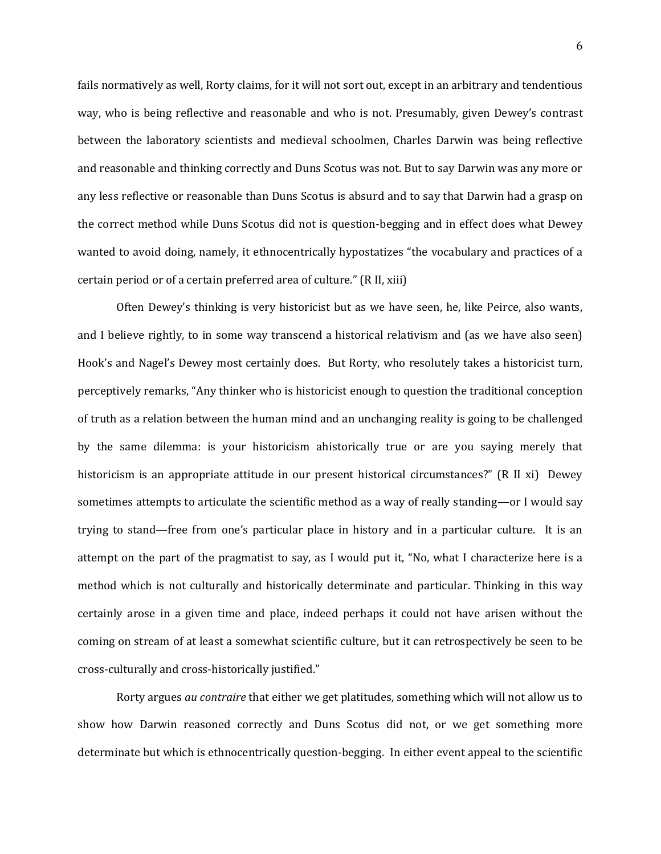fails normatively as well, Rorty claims, for it will not sort out, except in an arbitrary and tendentious way, who is being reflective and reasonable and who is not. Presumably, given Dewey's contrast between the laboratory scientists and medieval schoolmen, Charles Darwin was being reflective and reasonable and thinking correctly and Duns Scotus was not. But to say Darwin was any more or any less reflective or reasonable than Duns Scotus is absurd and to say that Darwin had a grasp on the correct method while Duns Scotus did not is question-begging and in effect does what Dewey wanted to avoid doing, namely, it ethnocentrically hypostatizes "the vocabulary and practices of a certain period or of a certain preferred area of culture." (R II, xiii)

Often Dewey's thinking is very historicist but as we have seen, he, like Peirce, also wants, and I believe rightly, to in some way transcend a historical relativism and (as we have also seen) Hook's and Nagel's Dewey most certainly does. But Rorty, who resolutely takes a historicist turn, perceptively remarks, "Any thinker who is historicist enough to question the traditional conception of truth as a relation between the human mind and an unchanging reality is going to be challenged by the same dilemma: is your historicism ahistorically true or are you saying merely that historicism is an appropriate attitude in our present historical circumstances?" (R II xi) Dewey sometimes attempts to articulate the scientific method as a way of really standing—or I would say trying to stand—free from one's particular place in history and in a particular culture. It is an attempt on the part of the pragmatist to say, as I would put it, "No, what I characterize here is a method which is not culturally and historically determinate and particular. Thinking in this way certainly arose in a given time and place, indeed perhaps it could not have arisen without the coming on stream of at least a somewhat scientific culture, but it can retrospectively be seen to be cross-culturally and cross-historically justified."

Rorty argues *au contraire* that either we get platitudes, something which will not allow us to show how Darwin reasoned correctly and Duns Scotus did not, or we get something more determinate but which is ethnocentrically question-begging. In either event appeal to the scientific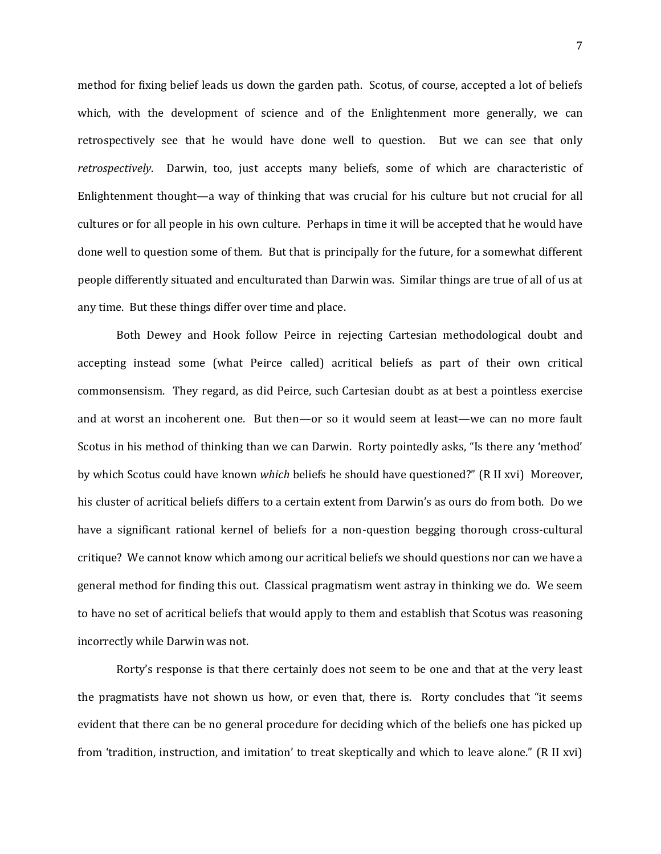method for fixing belief leads us down the garden path. Scotus, of course, accepted a lot of beliefs which, with the development of science and of the Enlightenment more generally, we can retrospectively see that he would have done well to question. But we can see that only *retrospectively*. Darwin, too, just accepts many beliefs, some of which are characteristic of Enlightenment thought—a way of thinking that was crucial for his culture but not crucial for all cultures or for all people in his own culture. Perhaps in time it will be accepted that he would have done well to question some of them. But that is principally for the future, for a somewhat different people differently situated and enculturated than Darwin was. Similar things are true of all of us at any time. But these things differ over time and place.

Both Dewey and Hook follow Peirce in rejecting Cartesian methodological doubt and accepting instead some (what Peirce called) acritical beliefs as part of their own critical commonsensism. They regard, as did Peirce, such Cartesian doubt as at best a pointless exercise and at worst an incoherent one. But then—or so it would seem at least—we can no more fault Scotus in his method of thinking than we can Darwin. Rorty pointedly asks, "Is there any 'method' by which Scotus could have known *which* beliefs he should have questioned?" (R II xvi) Moreover, his cluster of acritical beliefs differs to a certain extent from Darwin's as ours do from both. Do we have a significant rational kernel of beliefs for a non-question begging thorough cross-cultural critique? We cannot know which among our acritical beliefs we should questions nor can we have a general method for finding this out. Classical pragmatism went astray in thinking we do. We seem to have no set of acritical beliefs that would apply to them and establish that Scotus was reasoning incorrectly while Darwin was not.

Rorty's response is that there certainly does not seem to be one and that at the very least the pragmatists have not shown us how, or even that, there is. Rorty concludes that "it seems evident that there can be no general procedure for deciding which of the beliefs one has picked up from 'tradition, instruction, and imitation' to treat skeptically and which to leave alone." (R II xvi)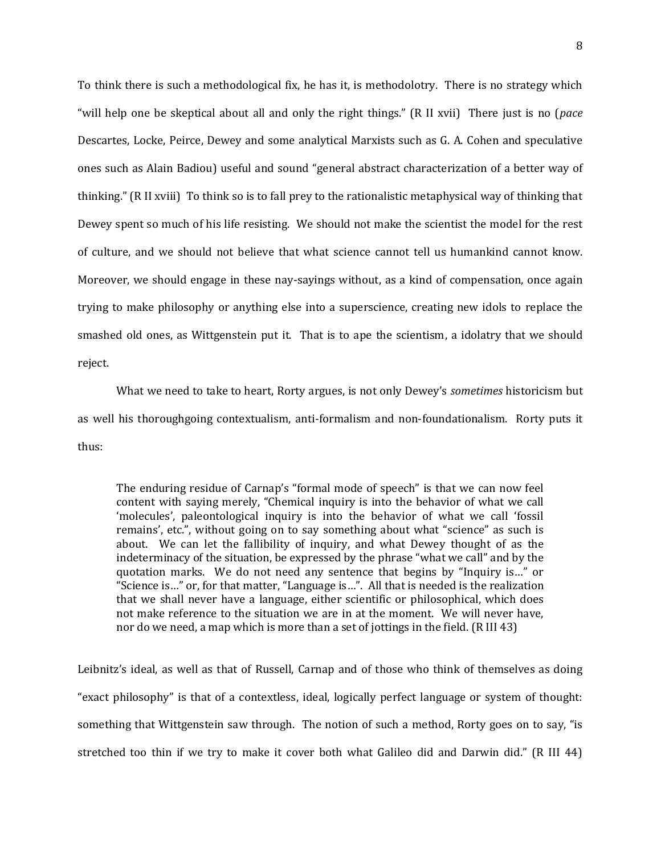To think there is such a methodological fix, he has it, is methodolotry. There is no strategy which "will help one be skeptical about all and only the right things." (R II xvii) There just is no (*pace*  Descartes, Locke, Peirce, Dewey and some analytical Marxists such as G. A. Cohen and speculative ones such as Alain Badiou) useful and sound "general abstract characterization of a better way of thinking." (R II xviii) To think so is to fall prey to the rationalistic metaphysical way of thinking that Dewey spent so much of his life resisting. We should not make the scientist the model for the rest of culture, and we should not believe that what science cannot tell us humankind cannot know. Moreover, we should engage in these nay-sayings without, as a kind of compensation, once again trying to make philosophy or anything else into a superscience, creating new idols to replace the smashed old ones, as Wittgenstein put it. That is to ape the scientism, a idolatry that we should reject.

What we need to take to heart, Rorty argues, is not only Dewey's *sometimes* historicism but as well his thoroughgoing contextualism, anti-formalism and non-foundationalism. Rorty puts it thus:

The enduring residue of Carnap's "formal mode of speech" is that we can now feel content with saying merely, "Chemical inquiry is into the behavior of what we call 'molecules', paleontological inquiry is into the behavior of what we call 'fossil remains', etc.", without going on to say something about what "science" as such is about. We can let the fallibility of inquiry, and what Dewey thought of as the indeterminacy of the situation, be expressed by the phrase "what we call" and by the quotation marks. We do not need any sentence that begins by "Inquiry is…" or "Science is…" or, for that matter, "Language is…". All that is needed is the realization that we shall never have a language, either scientific or philosophical, which does not make reference to the situation we are in at the moment. We will never have, nor do we need, a map which is more than a set of jottings in the field. (R III 43)

Leibnitz's ideal, as well as that of Russell, Carnap and of those who think of themselves as doing "exact philosophy" is that of a contextless, ideal, logically perfect language or system of thought: something that Wittgenstein saw through. The notion of such a method, Rorty goes on to say, "is stretched too thin if we try to make it cover both what Galileo did and Darwin did." (R III 44)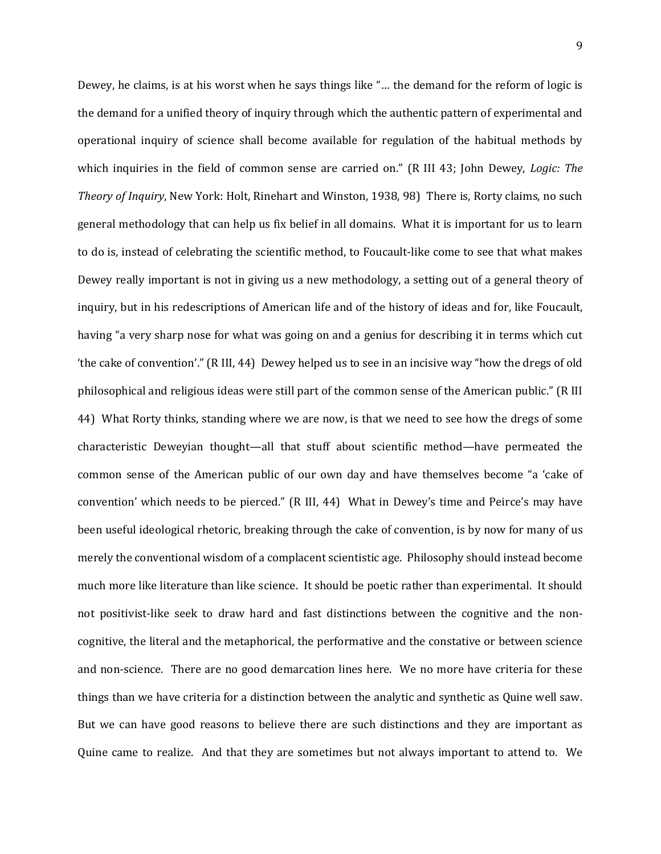Dewey, he claims, is at his worst when he says things like "… the demand for the reform of logic is the demand for a unified theory of inquiry through which the authentic pattern of experimental and operational inquiry of science shall become available for regulation of the habitual methods by which inquiries in the field of common sense are carried on." (R III 43; John Dewey, *Logic: The Theory of Inquiry*, New York: Holt, Rinehart and Winston, 1938, 98) There is, Rorty claims, no such general methodology that can help us fix belief in all domains. What it is important for us to learn to do is, instead of celebrating the scientific method, to Foucault-like come to see that what makes Dewey really important is not in giving us a new methodology, a setting out of a general theory of inquiry, but in his redescriptions of American life and of the history of ideas and for, like Foucault, having "a very sharp nose for what was going on and a genius for describing it in terms which cut 'the cake of convention'." (R III, 44) Dewey helped us to see in an incisive way "how the dregs of old philosophical and religious ideas were still part of the common sense of the American public." (R III 44) What Rorty thinks, standing where we are now, is that we need to see how the dregs of some characteristic Deweyian thought—all that stuff about scientific method—have permeated the common sense of the American public of our own day and have themselves become "a 'cake of convention' which needs to be pierced." (R III, 44) What in Dewey's time and Peirce's may have been useful ideological rhetoric, breaking through the cake of convention, is by now for many of us merely the conventional wisdom of a complacent scientistic age. Philosophy should instead become much more like literature than like science. It should be poetic rather than experimental. It should not positivist-like seek to draw hard and fast distinctions between the cognitive and the noncognitive, the literal and the metaphorical, the performative and the constative or between science and non-science. There are no good demarcation lines here. We no more have criteria for these things than we have criteria for a distinction between the analytic and synthetic as Quine well saw. But we can have good reasons to believe there are such distinctions and they are important as Quine came to realize. And that they are sometimes but not always important to attend to. We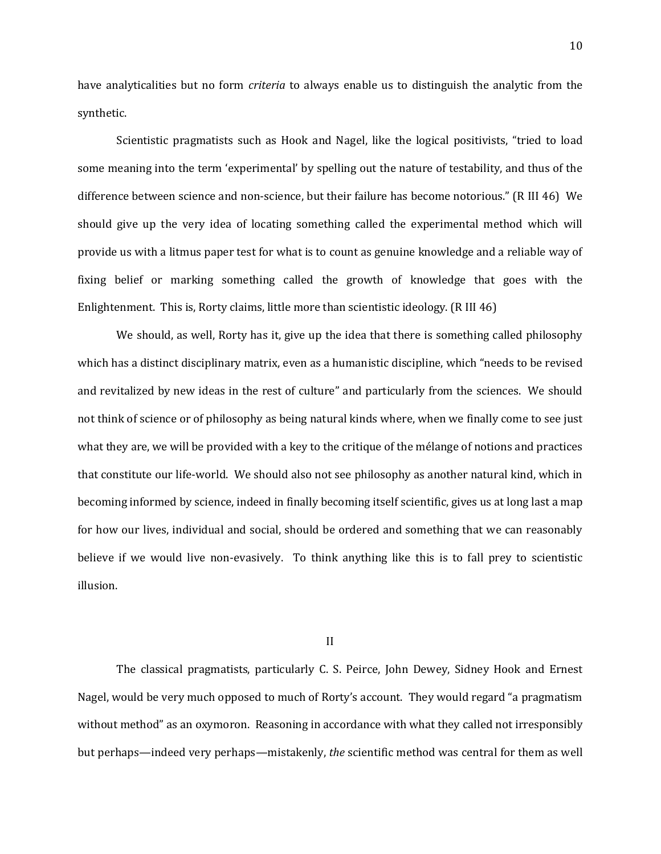have analyticalities but no form *criteria* to always enable us to distinguish the analytic from the synthetic.

Scientistic pragmatists such as Hook and Nagel, like the logical positivists, "tried to load some meaning into the term 'experimental' by spelling out the nature of testability, and thus of the difference between science and non-science, but their failure has become notorious." (R III 46) We should give up the very idea of locating something called the experimental method which will provide us with a litmus paper test for what is to count as genuine knowledge and a reliable way of fixing belief or marking something called the growth of knowledge that goes with the Enlightenment. This is, Rorty claims, little more than scientistic ideology. (R III 46)

We should, as well, Rorty has it, give up the idea that there is something called philosophy which has a distinct disciplinary matrix, even as a humanistic discipline, which "needs to be revised and revitalized by new ideas in the rest of culture" and particularly from the sciences. We should not think of science or of philosophy as being natural kinds where, when we finally come to see just what they are, we will be provided with a key to the critique of the mélange of notions and practices that constitute our life-world. We should also not see philosophy as another natural kind, which in becoming informed by science, indeed in finally becoming itself scientific, gives us at long last a map for how our lives, individual and social, should be ordered and something that we can reasonably believe if we would live non-evasively. To think anything like this is to fall prey to scientistic illusion.

II

The classical pragmatists, particularly C. S. Peirce, John Dewey, Sidney Hook and Ernest Nagel, would be very much opposed to much of Rorty's account. They would regard "a pragmatism without method" as an oxymoron. Reasoning in accordance with what they called not irresponsibly but perhaps—indeed very perhaps—mistakenly, *the* scientific method was central for them as well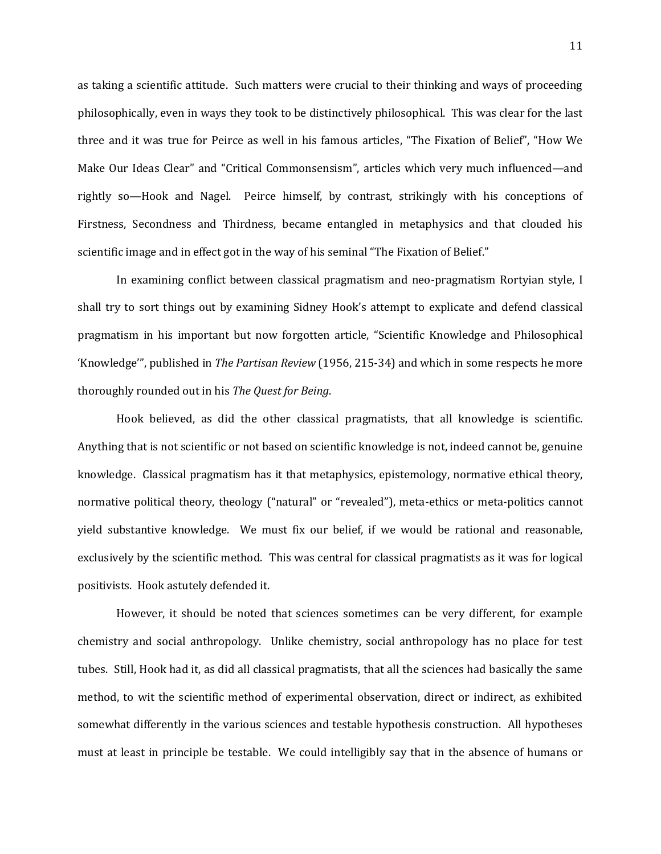as taking a scientific attitude. Such matters were crucial to their thinking and ways of proceeding philosophically, even in ways they took to be distinctively philosophical. This was clear for the last three and it was true for Peirce as well in his famous articles, "The Fixation of Belief", "How We Make Our Ideas Clear" and "Critical Commonsensism", articles which very much influenced—and rightly so—Hook and Nagel. Peirce himself, by contrast, strikingly with his conceptions of Firstness, Secondness and Thirdness, became entangled in metaphysics and that clouded his scientific image and in effect got in the way of his seminal "The Fixation of Belief."

In examining conflict between classical pragmatism and neo-pragmatism Rortyian style, I shall try to sort things out by examining Sidney Hook's attempt to explicate and defend classical pragmatism in his important but now forgotten article, "Scientific Knowledge and Philosophical 'Knowledge'", published in *The Partisan Review* (1956, 215-34) and which in some respects he more thoroughly rounded out in his *The Quest for Being*.

Hook believed, as did the other classical pragmatists, that all knowledge is scientific. Anything that is not scientific or not based on scientific knowledge is not, indeed cannot be, genuine knowledge. Classical pragmatism has it that metaphysics, epistemology, normative ethical theory, normative political theory, theology ("natural" or "revealed"), meta-ethics or meta-politics cannot yield substantive knowledge. We must fix our belief, if we would be rational and reasonable, exclusively by the scientific method. This was central for classical pragmatists as it was for logical positivists. Hook astutely defended it.

However, it should be noted that sciences sometimes can be very different, for example chemistry and social anthropology. Unlike chemistry, social anthropology has no place for test tubes. Still, Hook had it, as did all classical pragmatists, that all the sciences had basically the same method, to wit the scientific method of experimental observation, direct or indirect, as exhibited somewhat differently in the various sciences and testable hypothesis construction. All hypotheses must at least in principle be testable. We could intelligibly say that in the absence of humans or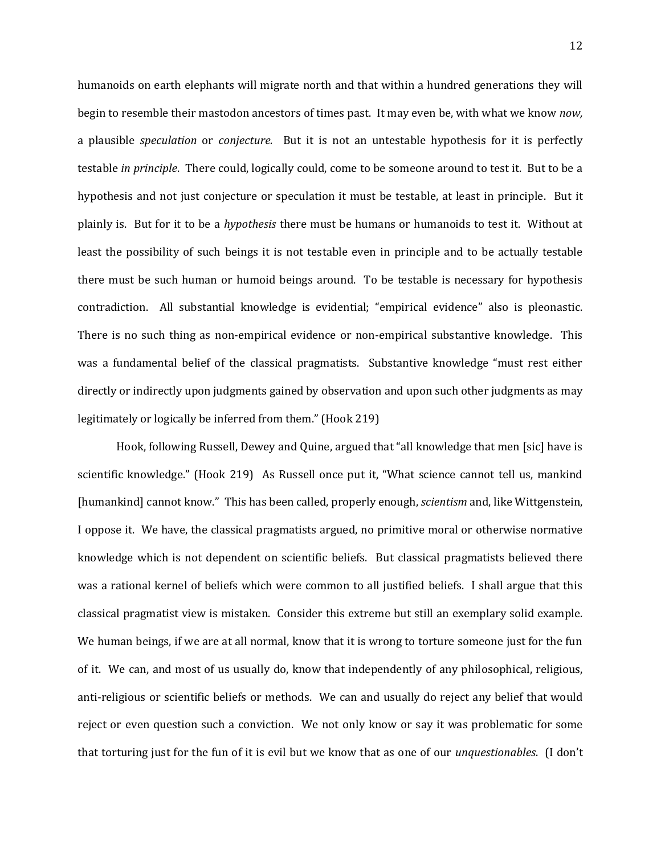humanoids on earth elephants will migrate north and that within a hundred generations they will begin to resemble their mastodon ancestors of times past. It may even be, with what we know *now,* a plausible *speculation* or *conjecture.* But it is not an untestable hypothesis for it is perfectly testable *in principle*. There could, logically could, come to be someone around to test it. But to be a hypothesis and not just conjecture or speculation it must be testable, at least in principle. But it plainly is. But for it to be a *hypothesis* there must be humans or humanoids to test it. Without at least the possibility of such beings it is not testable even in principle and to be actually testable there must be such human or humoid beings around. To be testable is necessary for hypothesis contradiction. All substantial knowledge is evidential; "empirical evidence" also is pleonastic. There is no such thing as non-empirical evidence or non-empirical substantive knowledge. This was a fundamental belief of the classical pragmatists. Substantive knowledge "must rest either directly or indirectly upon judgments gained by observation and upon such other judgments as may legitimately or logically be inferred from them." (Hook 219)

Hook, following Russell, Dewey and Quine, argued that "all knowledge that men [sic] have is scientific knowledge." (Hook 219) As Russell once put it, "What science cannot tell us, mankind [humankind] cannot know." This has been called, properly enough, *scientism* and, like Wittgenstein, I oppose it. We have, the classical pragmatists argued, no primitive moral or otherwise normative knowledge which is not dependent on scientific beliefs. But classical pragmatists believed there was a rational kernel of beliefs which were common to all justified beliefs. I shall argue that this classical pragmatist view is mistaken. Consider this extreme but still an exemplary solid example. We human beings, if we are at all normal, know that it is wrong to torture someone just for the fun of it. We can, and most of us usually do, know that independently of any philosophical, religious, anti-religious or scientific beliefs or methods. We can and usually do reject any belief that would reject or even question such a conviction. We not only know or say it was problematic for some that torturing just for the fun of it is evil but we know that as one of our *unquestionables*. (I don't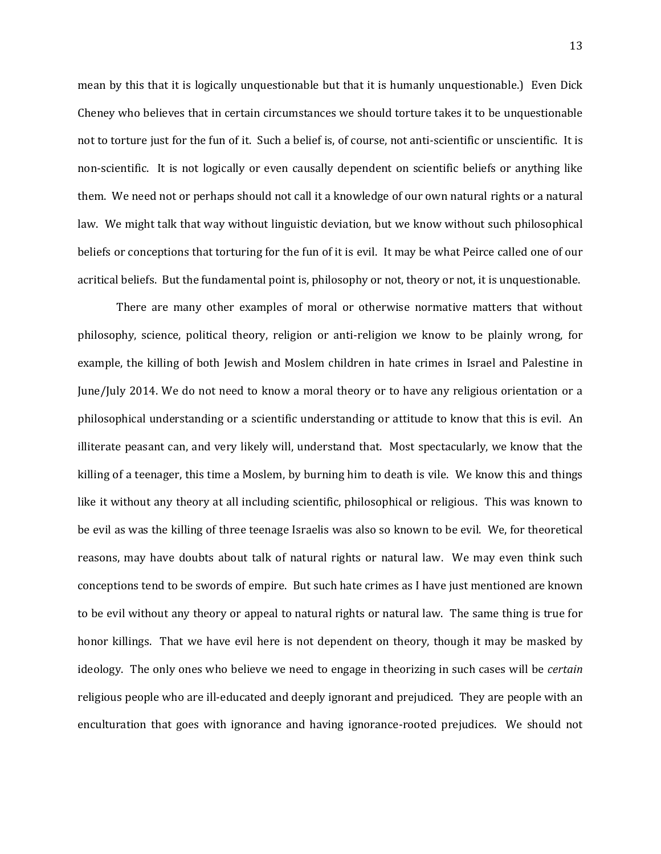mean by this that it is logically unquestionable but that it is humanly unquestionable.) Even Dick Cheney who believes that in certain circumstances we should torture takes it to be unquestionable not to torture just for the fun of it. Such a belief is, of course, not anti-scientific or unscientific. It is non-scientific. It is not logically or even causally dependent on scientific beliefs or anything like them. We need not or perhaps should not call it a knowledge of our own natural rights or a natural law. We might talk that way without linguistic deviation, but we know without such philosophical beliefs or conceptions that torturing for the fun of it is evil. It may be what Peirce called one of our acritical beliefs. But the fundamental point is, philosophy or not, theory or not, it is unquestionable.

There are many other examples of moral or otherwise normative matters that without philosophy, science, political theory, religion or anti-religion we know to be plainly wrong, for example, the killing of both Jewish and Moslem children in hate crimes in Israel and Palestine in June/July 2014. We do not need to know a moral theory or to have any religious orientation or a philosophical understanding or a scientific understanding or attitude to know that this is evil. An illiterate peasant can, and very likely will, understand that. Most spectacularly, we know that the killing of a teenager, this time a Moslem, by burning him to death is vile. We know this and things like it without any theory at all including scientific, philosophical or religious. This was known to be evil as was the killing of three teenage Israelis was also so known to be evil. We, for theoretical reasons, may have doubts about talk of natural rights or natural law. We may even think such conceptions tend to be swords of empire. But such hate crimes as I have just mentioned are known to be evil without any theory or appeal to natural rights or natural law. The same thing is true for honor killings. That we have evil here is not dependent on theory, though it may be masked by ideology. The only ones who believe we need to engage in theorizing in such cases will be *certain* religious people who are ill-educated and deeply ignorant and prejudiced. They are people with an enculturation that goes with ignorance and having ignorance-rooted prejudices. We should not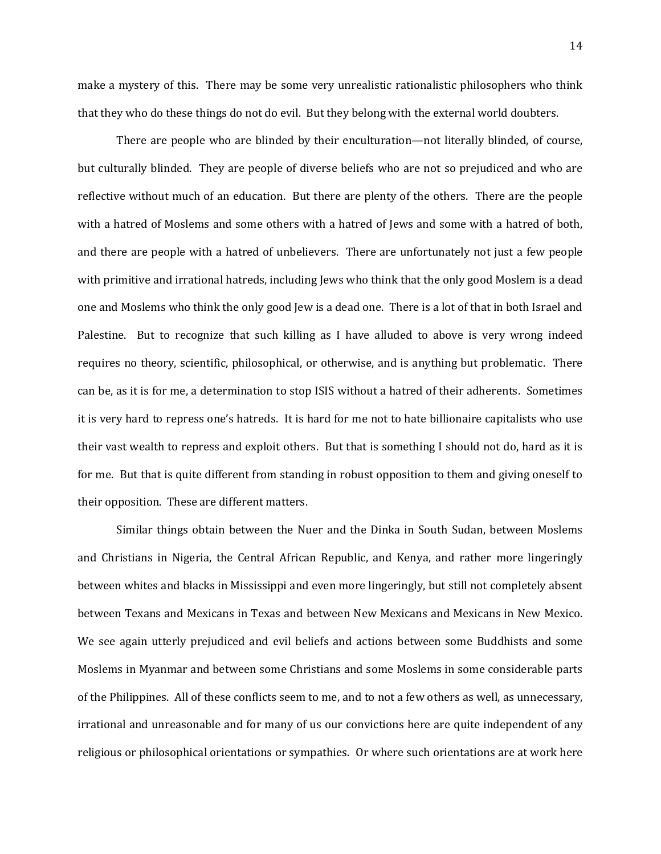make a mystery of this. There may be some very unrealistic rationalistic philosophers who think

that they who do these things do not do evil. But they belong with the external world doubters.

There are people who are blinded by their enculturation—not literally blinded, of course, but culturally blinded. They are people of diverse beliefs who are not so prejudiced and who are reflective without much of an education. But there are plenty of the others. There are the people with a hatred of Moslems and some others with a hatred of Jews and some with a hatred of both, and there are people with a hatred of unbelievers. There are unfortunately not just a few people with primitive and irrational hatreds, including Jews who think that the only good Moslem is a dead one and Moslems who think the only good Jew is a dead one. There is a lot of that in both Israel and Palestine. But to recognize that such killing as I have alluded to above is very wrong indeed requires no theory, scientific, philosophical, or otherwise, and is anything but problematic. There can be, as it is for me, a determination to stop ISIS without a hatred of their adherents. Sometimes it is very hard to repress one's hatreds. It is hard for me not to hate billionaire capitalists who use their vast wealth to repress and exploit others. But that is something I should not do, hard as it is for me. But that is quite different from standing in robust opposition to them and giving oneself to their opposition. These are different matters.

Similar things obtain between the Nuer and the Dinka in South Sudan, between Moslems and Christians in Nigeria, the Central African Republic, and Kenya, and rather more lingeringly between whites and blacks in Mississippi and even more lingeringly, but still not completely absent between Texans and Mexicans in Texas and between New Mexicans and Mexicans in New Mexico. We see again utterly prejudiced and evil beliefs and actions between some Buddhists and some Moslems in Myanmar and between some Christians and some Moslems in some considerable parts of the Philippines. All of these conflicts seem to me, and to not a few others as well, as unnecessary, irrational and unreasonable and for many of us our convictions here are quite independent of any religious or philosophical orientations or sympathies. Or where such orientations are at work here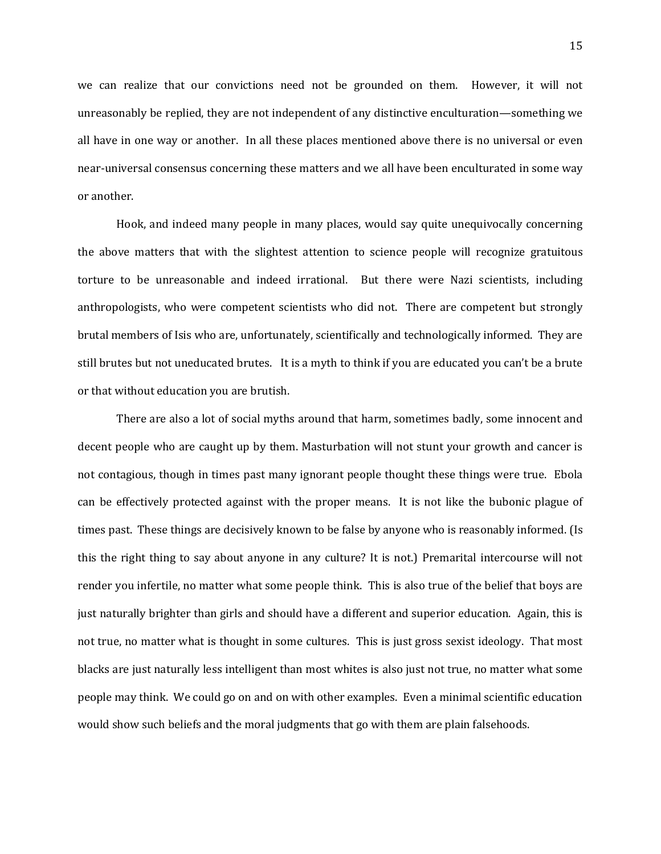we can realize that our convictions need not be grounded on them. However, it will not unreasonably be replied, they are not independent of any distinctive enculturation—something we all have in one way or another. In all these places mentioned above there is no universal or even near-universal consensus concerning these matters and we all have been enculturated in some way or another.

Hook, and indeed many people in many places, would say quite unequivocally concerning the above matters that with the slightest attention to science people will recognize gratuitous torture to be unreasonable and indeed irrational. But there were Nazi scientists, including anthropologists, who were competent scientists who did not. There are competent but strongly brutal members of Isis who are, unfortunately, scientifically and technologically informed. They are still brutes but not uneducated brutes. It is a myth to think if you are educated you can't be a brute or that without education you are brutish.

There are also a lot of social myths around that harm, sometimes badly, some innocent and decent people who are caught up by them. Masturbation will not stunt your growth and cancer is not contagious, though in times past many ignorant people thought these things were true. Ebola can be effectively protected against with the proper means. It is not like the bubonic plague of times past. These things are decisively known to be false by anyone who is reasonably informed. (Is this the right thing to say about anyone in any culture? It is not.) Premarital intercourse will not render you infertile, no matter what some people think. This is also true of the belief that boys are just naturally brighter than girls and should have a different and superior education. Again, this is not true, no matter what is thought in some cultures. This is just gross sexist ideology. That most blacks are just naturally less intelligent than most whites is also just not true, no matter what some people may think. We could go on and on with other examples. Even a minimal scientific education would show such beliefs and the moral judgments that go with them are plain falsehoods.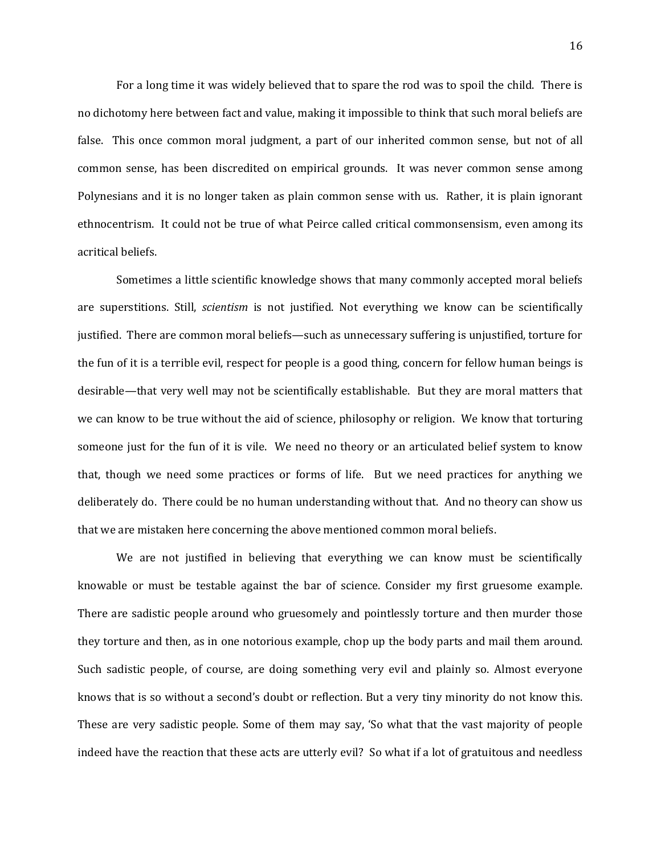For a long time it was widely believed that to spare the rod was to spoil the child. There is no dichotomy here between fact and value, making it impossible to think that such moral beliefs are false. This once common moral judgment, a part of our inherited common sense, but not of all common sense, has been discredited on empirical grounds. It was never common sense among Polynesians and it is no longer taken as plain common sense with us. Rather, it is plain ignorant ethnocentrism. It could not be true of what Peirce called critical commonsensism, even among its acritical beliefs.

Sometimes a little scientific knowledge shows that many commonly accepted moral beliefs are superstitions. Still, *scientism* is not justified. Not everything we know can be scientifically justified. There are common moral beliefs—such as unnecessary suffering is unjustified, torture for the fun of it is a terrible evil, respect for people is a good thing, concern for fellow human beings is desirable—that very well may not be scientifically establishable. But they are moral matters that we can know to be true without the aid of science, philosophy or religion. We know that torturing someone just for the fun of it is vile. We need no theory or an articulated belief system to know that, though we need some practices or forms of life. But we need practices for anything we deliberately do. There could be no human understanding without that. And no theory can show us that we are mistaken here concerning the above mentioned common moral beliefs.

We are not justified in believing that everything we can know must be scientifically knowable or must be testable against the bar of science. Consider my first gruesome example. There are sadistic people around who gruesomely and pointlessly torture and then murder those they torture and then, as in one notorious example, chop up the body parts and mail them around. Such sadistic people, of course, are doing something very evil and plainly so. Almost everyone knows that is so without a second's doubt or reflection. But a very tiny minority do not know this. These are very sadistic people. Some of them may say, 'So what that the vast majority of people indeed have the reaction that these acts are utterly evil? So what if a lot of gratuitous and needless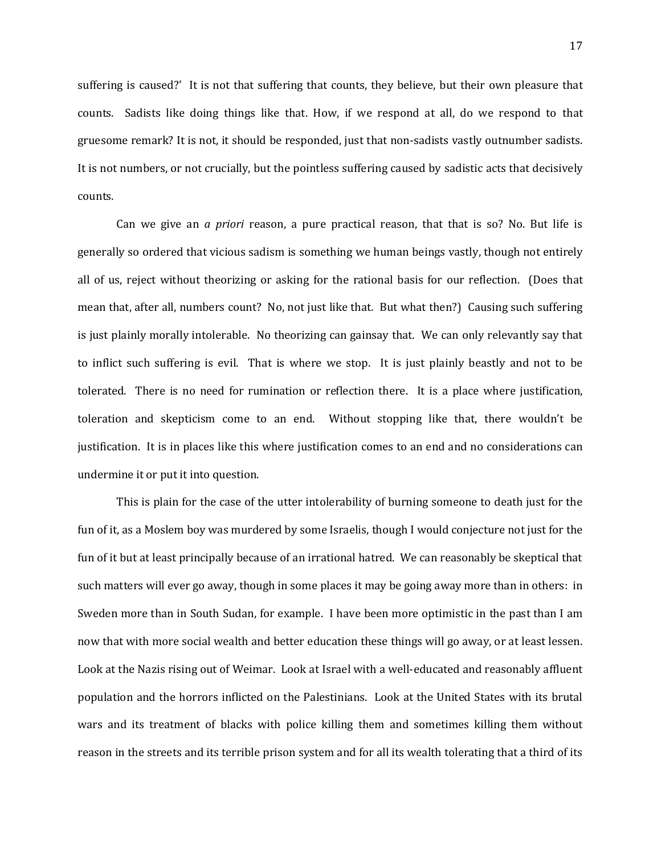suffering is caused?' It is not that suffering that counts, they believe, but their own pleasure that counts. Sadists like doing things like that. How, if we respond at all, do we respond to that gruesome remark? It is not, it should be responded, just that non-sadists vastly outnumber sadists. It is not numbers, or not crucially, but the pointless suffering caused by sadistic acts that decisively counts.

Can we give an *a priori* reason, a pure practical reason, that that is so? No. But life is generally so ordered that vicious sadism is something we human beings vastly, though not entirely all of us, reject without theorizing or asking for the rational basis for our reflection. (Does that mean that, after all, numbers count? No, not just like that. But what then?) Causing such suffering is just plainly morally intolerable. No theorizing can gainsay that. We can only relevantly say that to inflict such suffering is evil. That is where we stop. It is just plainly beastly and not to be tolerated. There is no need for rumination or reflection there. It is a place where justification, toleration and skepticism come to an end. Without stopping like that, there wouldn't be justification. It is in places like this where justification comes to an end and no considerations can undermine it or put it into question.

This is plain for the case of the utter intolerability of burning someone to death just for the fun of it, as a Moslem boy was murdered by some Israelis, though I would conjecture not just for the fun of it but at least principally because of an irrational hatred. We can reasonably be skeptical that such matters will ever go away, though in some places it may be going away more than in others: in Sweden more than in South Sudan, for example. I have been more optimistic in the past than I am now that with more social wealth and better education these things will go away, or at least lessen. Look at the Nazis rising out of Weimar. Look at Israel with a well-educated and reasonably affluent population and the horrors inflicted on the Palestinians. Look at the United States with its brutal wars and its treatment of blacks with police killing them and sometimes killing them without reason in the streets and its terrible prison system and for all its wealth tolerating that a third of its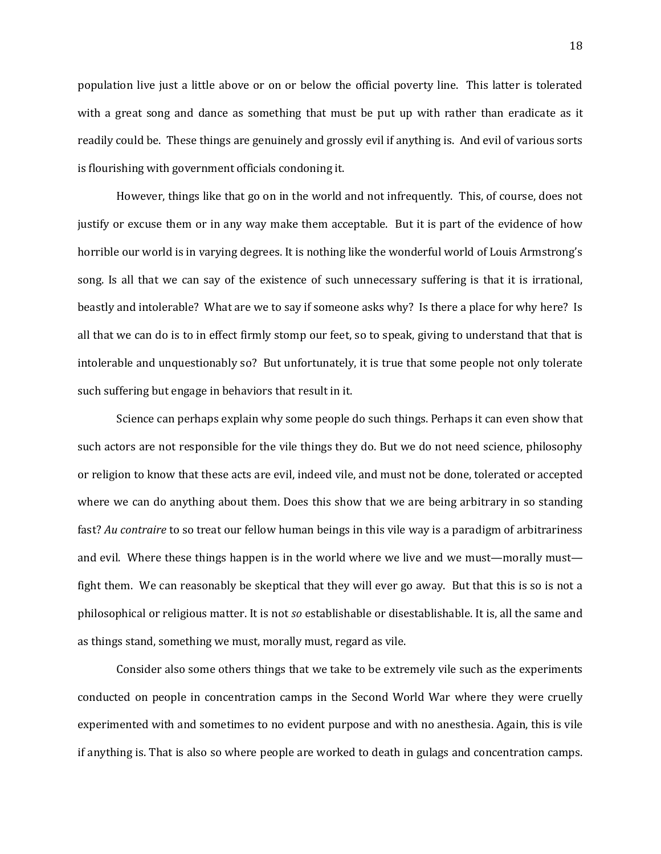population live just a little above or on or below the official poverty line. This latter is tolerated with a great song and dance as something that must be put up with rather than eradicate as it readily could be. These things are genuinely and grossly evil if anything is. And evil of various sorts is flourishing with government officials condoning it.

However, things like that go on in the world and not infrequently. This, of course, does not justify or excuse them or in any way make them acceptable. But it is part of the evidence of how horrible our world is in varying degrees. It is nothing like the wonderful world of Louis Armstrong's song. Is all that we can say of the existence of such unnecessary suffering is that it is irrational, beastly and intolerable? What are we to say if someone asks why? Is there a place for why here? Is all that we can do is to in effect firmly stomp our feet, so to speak, giving to understand that that is intolerable and unquestionably so? But unfortunately, it is true that some people not only tolerate such suffering but engage in behaviors that result in it.

Science can perhaps explain why some people do such things. Perhaps it can even show that such actors are not responsible for the vile things they do. But we do not need science, philosophy or religion to know that these acts are evil, indeed vile, and must not be done, tolerated or accepted where we can do anything about them. Does this show that we are being arbitrary in so standing fast? *Au contraire* to so treat our fellow human beings in this vile way is a paradigm of arbitrariness and evil. Where these things happen is in the world where we live and we must—morally must fight them. We can reasonably be skeptical that they will ever go away. But that this is so is not a philosophical or religious matter. It is not *so* establishable or disestablishable. It is, all the same and as things stand, something we must, morally must, regard as vile.

Consider also some others things that we take to be extremely vile such as the experiments conducted on people in concentration camps in the Second World War where they were cruelly experimented with and sometimes to no evident purpose and with no anesthesia. Again, this is vile if anything is. That is also so where people are worked to death in gulags and concentration camps.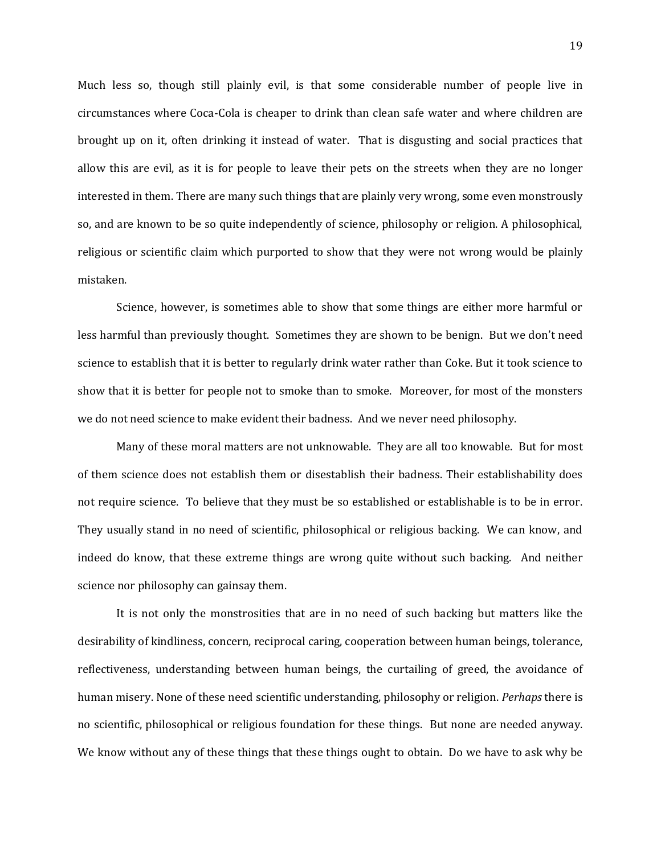Much less so, though still plainly evil, is that some considerable number of people live in circumstances where Coca-Cola is cheaper to drink than clean safe water and where children are brought up on it, often drinking it instead of water. That is disgusting and social practices that allow this are evil, as it is for people to leave their pets on the streets when they are no longer interested in them. There are many such things that are plainly very wrong, some even monstrously so, and are known to be so quite independently of science, philosophy or religion. A philosophical, religious or scientific claim which purported to show that they were not wrong would be plainly mistaken.

Science, however, is sometimes able to show that some things are either more harmful or less harmful than previously thought. Sometimes they are shown to be benign. But we don't need science to establish that it is better to regularly drink water rather than Coke. But it took science to show that it is better for people not to smoke than to smoke. Moreover, for most of the monsters we do not need science to make evident their badness. And we never need philosophy.

Many of these moral matters are not unknowable. They are all too knowable. But for most of them science does not establish them or disestablish their badness. Their establishability does not require science. To believe that they must be so established or establishable is to be in error. They usually stand in no need of scientific, philosophical or religious backing. We can know, and indeed do know, that these extreme things are wrong quite without such backing. And neither science nor philosophy can gainsay them.

It is not only the monstrosities that are in no need of such backing but matters like the desirability of kindliness, concern, reciprocal caring, cooperation between human beings, tolerance, reflectiveness, understanding between human beings, the curtailing of greed, the avoidance of human misery. None of these need scientific understanding, philosophy or religion. *Perhaps* there is no scientific, philosophical or religious foundation for these things. But none are needed anyway. We know without any of these things that these things ought to obtain. Do we have to ask why be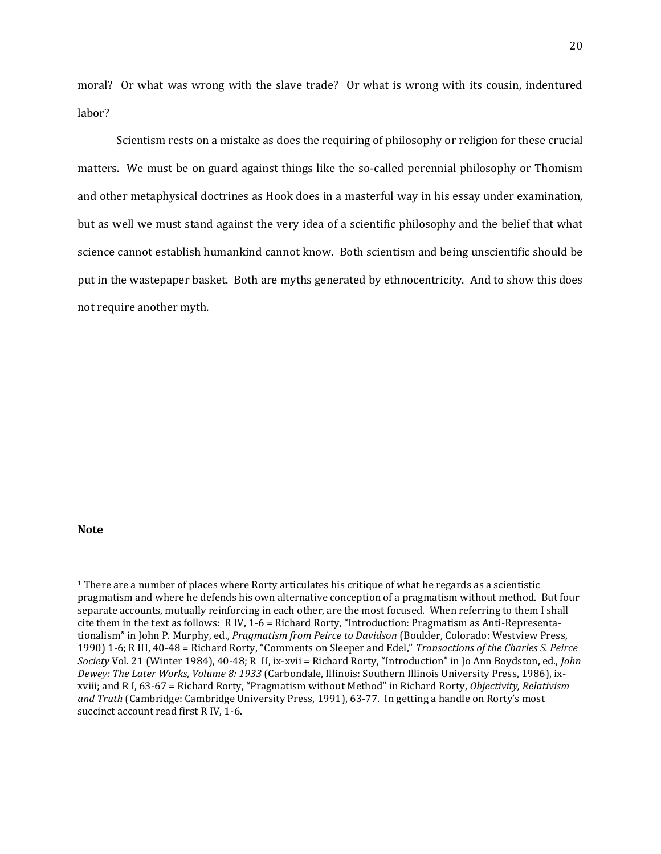moral? Or what was wrong with the slave trade? Or what is wrong with its cousin, indentured labor?

Scientism rests on a mistake as does the requiring of philosophy or religion for these crucial matters. We must be on guard against things like the so-called perennial philosophy or Thomism and other metaphysical doctrines as Hook does in a masterful way in his essay under examination, but as well we must stand against the very idea of a scientific philosophy and the belief that what science cannot establish humankind cannot know. Both scientism and being unscientific should be put in the wastepaper basket. Both are myths generated by ethnocentricity. And to show this does not require another myth.

## **Note**

l

<sup>1</sup> There are a number of places where Rorty articulates his critique of what he regards as a scientistic pragmatism and where he defends his own alternative conception of a pragmatism without method. But four separate accounts, mutually reinforcing in each other, are the most focused. When referring to them I shall cite them in the text as follows: R IV, 1-6 = Richard Rorty, "Introduction: Pragmatism as Anti-Representationalism" in John P. Murphy, ed., *Pragmatism from Peirce to Davidson* (Boulder, Colorado: Westview Press, 1990) 1-6; R III, 40-48 = Richard Rorty, "Comments on Sleeper and Edel," *Transactions of the Charles S. Peirce Society* Vol. 21 (Winter 1984), 40-48; R II, ix-xvii = Richard Rorty, "Introduction" in Jo Ann Boydston, ed., *John Dewey: The Later Works, Volume 8: 1933* (Carbondale, Illinois: Southern Illinois University Press, 1986), ixxviii; and R I, 63-67 = Richard Rorty, "Pragmatism without Method" in Richard Rorty, *Objectivity, Relativism and Truth* (Cambridge: Cambridge University Press, 1991), 63-77. In getting a handle on Rorty's most succinct account read first R IV, 1-6.